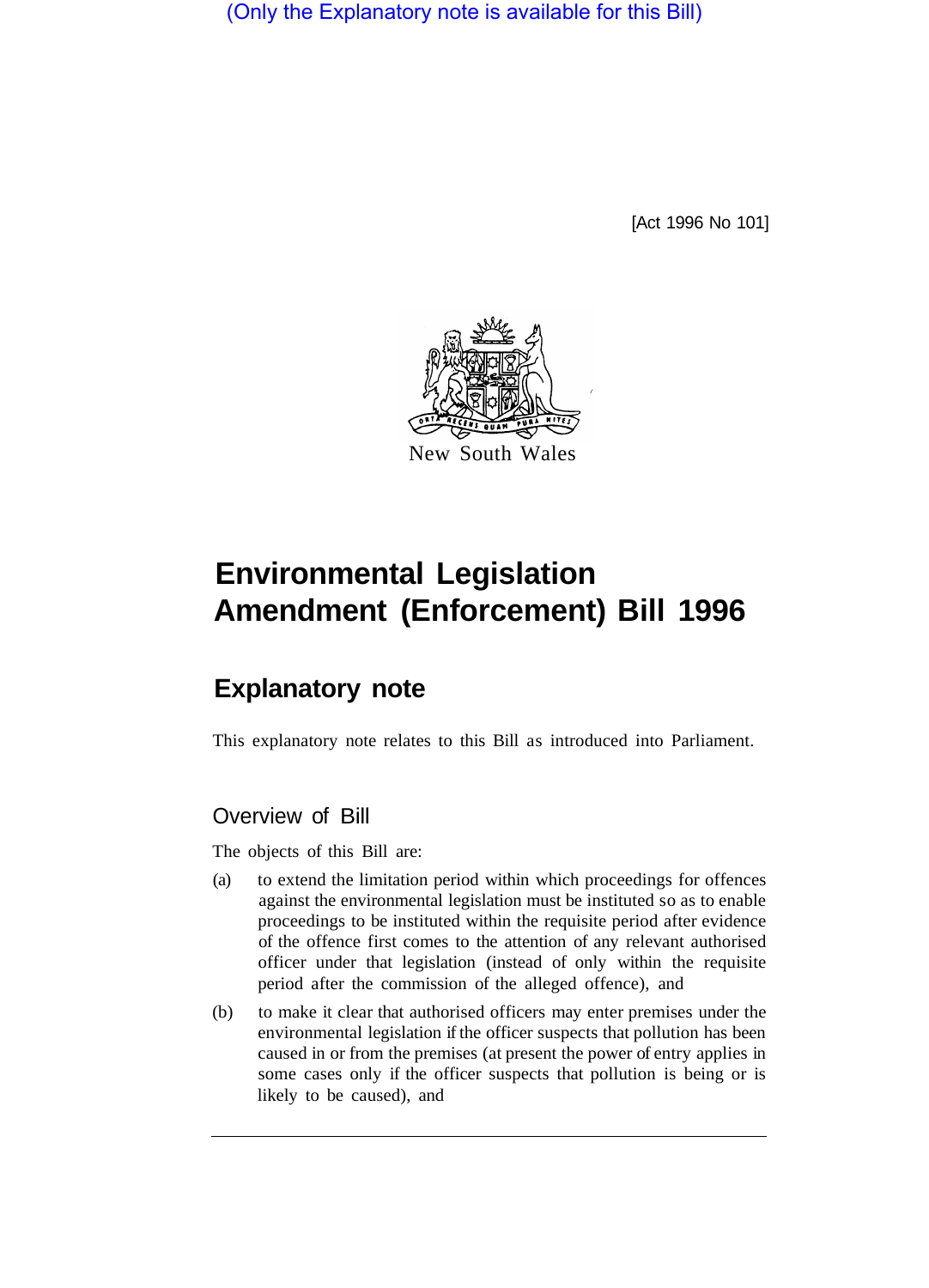(Only the Explanatory note is available for this Bill)

[Act 1996 No 101]



# **Environmental Legislation Amendment (Enforcement) Bill 1996**

# **Explanatory note**

This explanatory note relates to this Bill as introduced into Parliament.

### Overview of Bill

The objects of this Bill are:

- (a) to extend the limitation period within which proceedings for offences against the environmental legislation must be instituted so as to enable proceedings to be instituted within the requisite period after evidence of the offence first comes to the attention of any relevant authorised officer under that legislation (instead of only within the requisite period after the commission of the alleged offence), and
- (b) to make it clear that authorised officers may enter premises under the environmental legislation if the officer suspects that pollution has been caused in or from the premises (at present the power of entry applies in some cases only if the officer suspects that pollution is being or is likely to be caused), and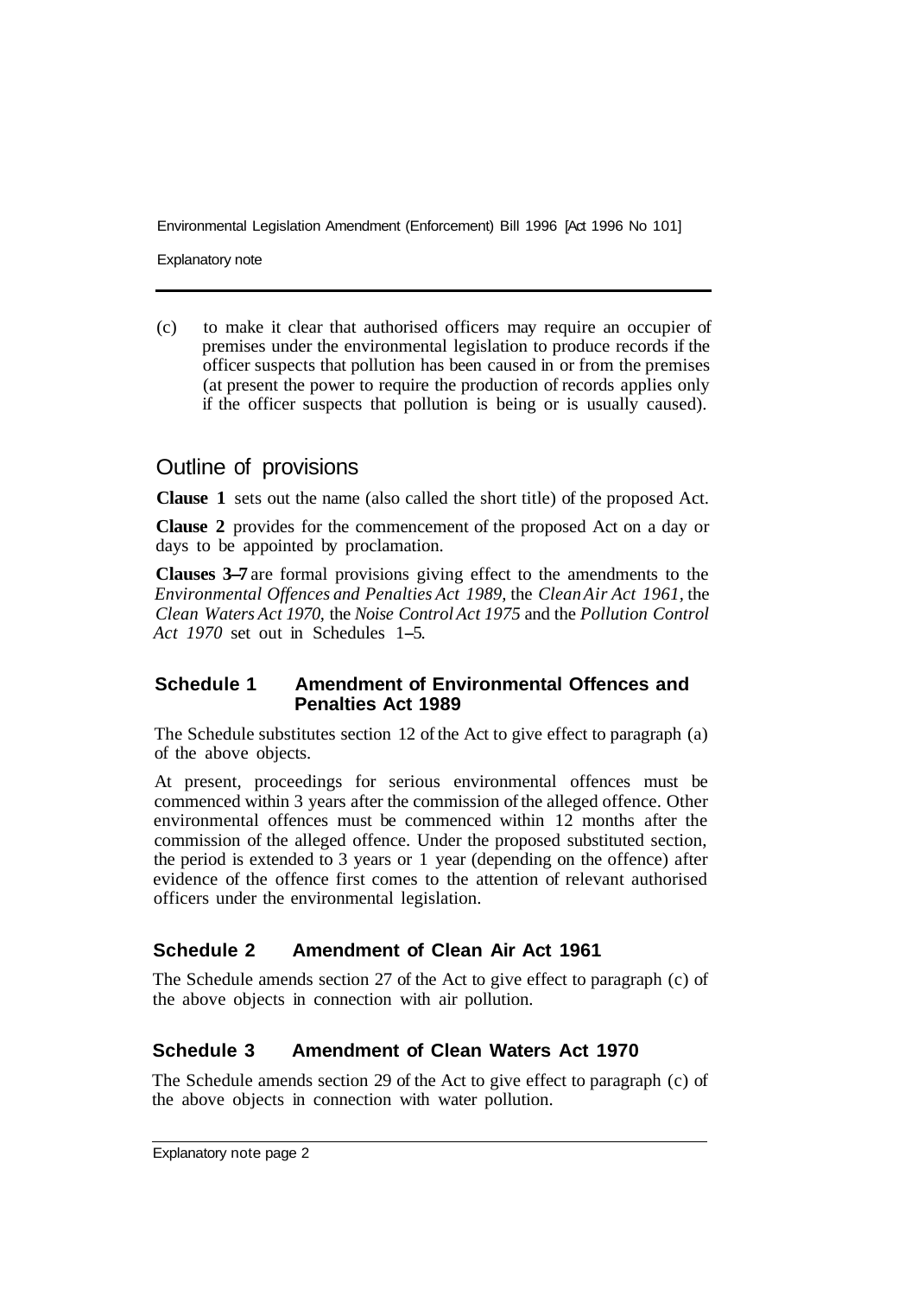Environmental Legislation Amendment (Enforcement) Bill 1996 [Act 1996 No 101]

Explanatory note

(c) to make it clear that authorised officers may require an occupier of premises under the environmental legislation to produce records if the officer suspects that pollution has been caused in or from the premises (at present the power to require the production of records applies only if the officer suspects that pollution is being or is usually caused).

## Outline of provisions

**Clause 1** sets out the name (also called the short title) of the proposed Act.

**Clause 2** provides for the commencement of the proposed Act on a day or days to be appointed by proclamation.

**Clauses 3-7** are formal provisions giving effect to the amendments to the *Environmental Offences and Penalties Act 1989,* the *Clean Air Act 1961,* the *Clean Waters Act 1970,* the *Noise Control Act 1975* and the *Pollution Control Act 1970* set out in Schedules 1-5.

#### **Schedule 1 Amendment of Environmental Offences and Penalties Act 1989**

The Schedule substitutes section 12 of the Act to give effect to paragraph (a) of the above objects.

At present, proceedings for serious environmental offences must be commenced within 3 years after the commission of the alleged offence. Other environmental offences must be commenced within 12 months after the commission of the alleged offence. Under the proposed substituted section, the period is extended to 3 years or 1 year (depending on the offence) after evidence of the offence first comes to the attention of relevant authorised officers under the environmental legislation.

#### **Schedule 2 Amendment of Clean Air Act 1961**

The Schedule amends section 27 of the Act to give effect to paragraph (c) of the above objects in connection with air pollution.

#### **Schedule 3 Amendment of Clean Waters Act 1970**

The Schedule amends section 29 of the Act to give effect to paragraph (c) of the above objects in connection with water pollution.